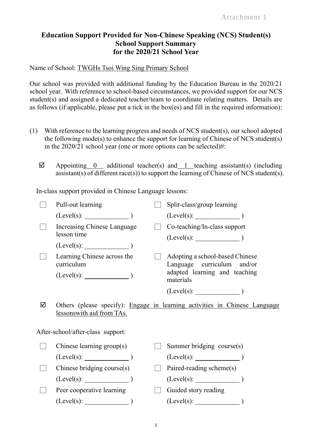## **Education Support Provided for Non-Chinese Speaking (NCS) Student(s) School Support Summary for the 2020/21 School Year**

Name of School: TWGHs Tsoi Wing Sing Primary School

Our school was provided with additional funding by the Education Bureau in the 2020/21 school year. With reference to school-based circumstances, we provided support for our NCS student(s) and assigned a dedicated teacher/team to coordinate relating matters. Details are as follows (if applicable, please put a tick in the box(es) and fill in the required information):

- (1) With reference to the learning progress and needs of NCS student(s), our school adopted the following mode(s) to enhance the support for learning of Chinese of NCS student(s) in the 2020/21 school year (one or more options can be selected)#:
	- $\boxtimes$  Appointing 0 additional teacher(s) and 1 teaching assistant(s) (including assistant(s) of different race(s)) to support the learning of Chinese of NCS student(s).

In-class support provided in Chinese Language lessons:

|                                   | Pull-out learning                          |  | Split-class/group learning                                                 |
|-----------------------------------|--------------------------------------------|--|----------------------------------------------------------------------------|
|                                   | (Level(s):                                 |  |                                                                            |
|                                   | Increasing Chinese Language<br>lesson time |  | Co-teaching/In-class support                                               |
|                                   | (Level(s):                                 |  |                                                                            |
|                                   | Learning Chinese across the<br>curriculum  |  | Adopting a school-based Chinese<br>Language curriculum and/or              |
|                                   |                                            |  | adapted learning and teaching<br>materials                                 |
|                                   |                                            |  |                                                                            |
| ☑                                 | lessons with aid from TAs.                 |  | Others (please specify): Engage in learning activities in Chinese Language |
| After-school/after-class support: |                                            |  |                                                                            |
|                                   | Chinese learning group(s)                  |  | Summer bridging course(s)                                                  |
|                                   |                                            |  |                                                                            |
|                                   | Chinese bridging course(s)                 |  | Paired-reading scheme(s)                                                   |
|                                   | $(Level(s):$ $)$                           |  | $(Level(s):$ $)$                                                           |
|                                   | Peer cooperative learning                  |  | Guided story reading                                                       |
|                                   | $(Level(s):$ $)$                           |  | $(Level(s):$ $)$                                                           |